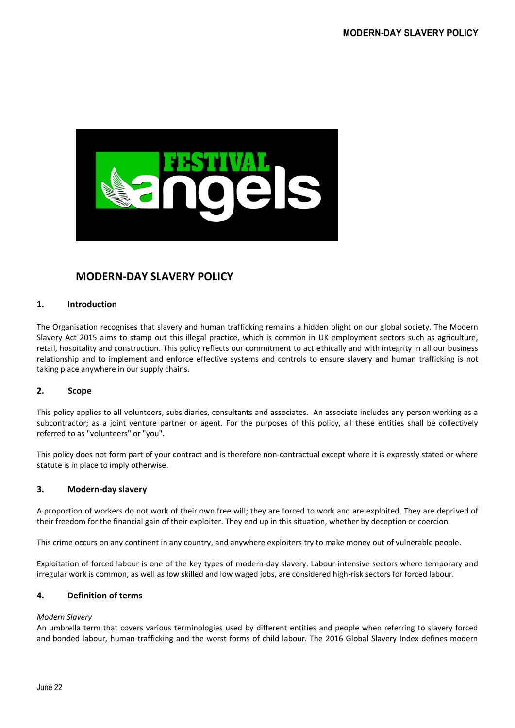

# **MODERN-DAY SLAVERY POLICY**

## **1. Introduction**

The Organisation recognises that slavery and human trafficking remains a hidden blight on our global society. The Modern Slavery Act 2015 aims to stamp out this illegal practice, which is common in UK employment sectors such as agriculture, retail, hospitality and construction. This policy reflects our commitment to act ethically and with integrity in all our business relationship and to implement and enforce effective systems and controls to ensure slavery and human trafficking is not taking place anywhere in our supply chains.

#### **2. Scope**

This policy applies to all volunteers, subsidiaries, consultants and associates. An associate includes any person working as a subcontractor; as a joint venture partner or agent. For the purposes of this policy, all these entities shall be collectively referred to as "volunteers" or "you".

This policy does not form part of your contract and is therefore non-contractual except where it is expressly stated or where statute is in place to imply otherwise.

## **3. Modern-day slavery**

A proportion of workers do not work of their own free will; they are forced to work and are exploited. They are deprived of their freedom for the financial gain of their exploiter. They end up in this situation, whether by deception or coercion.

This crime occurs on any continent in any country, and anywhere exploiters try to make money out of vulnerable people.

Exploitation of forced labour is one of the key types of modern-day slavery. Labour-intensive sectors where temporary and irregular work is common, as well as low skilled and low waged jobs, are considered high-risk sectors for forced labour.

#### **4. Definition of terms**

#### *Modern Slavery*

An umbrella term that covers various terminologies used by different entities and people when referring to slavery forced and bonded labour, human trafficking and the worst forms of child labour. The 2016 Global Slavery Index defines modern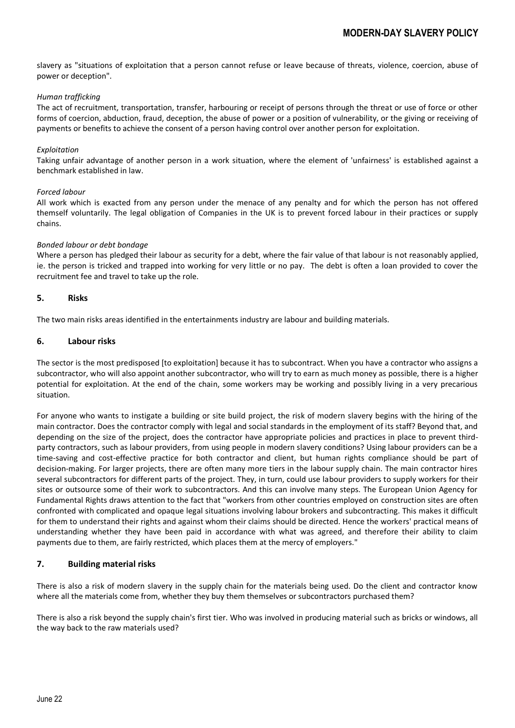slavery as "situations of exploitation that a person cannot refuse or leave because of threats, violence, coercion, abuse of power or deception".

#### *Human trafficking*

The act of recruitment, transportation, transfer, harbouring or receipt of persons through the threat or use of force or other forms of coercion, abduction, fraud, deception, the abuse of power or a position of vulnerability, or the giving or receiving of payments or benefits to achieve the consent of a person having control over another person for exploitation.

#### *Exploitation*

Taking unfair advantage of another person in a work situation, where the element of 'unfairness' is established against a benchmark established in law.

#### *Forced labour*

All work which is exacted from any person under the menace of any penalty and for which the person has not offered themself voluntarily. The legal obligation of Companies in the UK is to prevent forced labour in their practices or supply chains.

## *Bonded labour or debt bondage*

Where a person has pledged their labour as security for a debt, where the fair value of that labour is not reasonably applied, ie. the person is tricked and trapped into working for very little or no pay. The debt is often a loan provided to cover the recruitment fee and travel to take up the role.

## **5. Risks**

The two main risks areas identified in the entertainments industry are labour and building materials.

## **6. Labour risks**

The sector is the most predisposed [to exploitation] because it has to subcontract. When you have a contractor who assigns a subcontractor, who will also appoint another subcontractor, who will try to earn as much money as possible, there is a higher potential for exploitation. At the end of the chain, some workers may be working and possibly living in a very precarious situation.

For anyone who wants to instigate a building or site build project, the risk of modern slavery begins with the hiring of the main contractor. Does the contractor comply with legal and social standards in the employment of its staff? Beyond that, and depending on the size of the project, does the contractor have appropriate policies and practices in place to prevent thirdparty contractors, such as labour providers, from using people in modern slavery conditions? Using labour providers can be a time-saving and cost-effective practice for both contractor and client, but human rights compliance should be part of decision-making. For larger projects, there are often many more tiers in the labour supply chain. The main contractor hires several subcontractors for different parts of the project. They, in turn, could use labour providers to supply workers for their sites or outsource some of their work to subcontractors. And this can involve many steps. The European Union Agency for Fundamental Rights draws attention to the fact that "workers from other countries employed on construction sites are often confronted with complicated and opaque legal situations involving labour brokers and subcontracting. This makes it difficult for them to understand their rights and against whom their claims should be directed. Hence the workers' practical means of understanding whether they have been paid in accordance with what was agreed, and therefore their ability to claim payments due to them, are fairly restricted, which places them at the mercy of employers."

# **7. Building material risks**

There is also a risk of modern slavery in the supply chain for the materials being used. Do the client and contractor know where all the materials come from, whether they buy them themselves or subcontractors purchased them?

There is also a risk beyond the supply chain's first tier. Who was involved in producing material such as bricks or windows, all the way back to the raw materials used?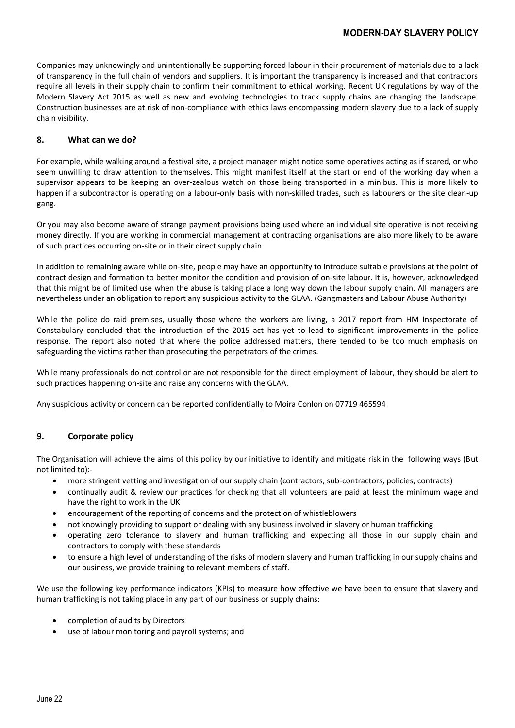Companies may unknowingly and unintentionally be supporting forced labour in their procurement of materials due to a lack of transparency in the full chain of vendors and suppliers. It is important the transparency is increased and that contractors require all levels in their supply chain to confirm their commitment to ethical working. Recent UK regulations by way of the Modern Slavery Act 2015 as well as new and evolving technologies to track supply chains are changing the landscape. Construction businesses are at risk of non-compliance with ethics laws encompassing modern slavery due to a lack of supply chain visibility.

# **8. What can we do?**

For example, while walking around a festival site, a project manager might notice some operatives acting as if scared, or who seem unwilling to draw attention to themselves. This might manifest itself at the start or end of the working day when a supervisor appears to be keeping an over-zealous watch on those being transported in a minibus. This is more likely to happen if a subcontractor is operating on a labour-only basis with non-skilled trades, such as labourers or the site clean-up gang.

Or you may also become aware of strange payment provisions being used where an individual site operative is not receiving money directly. If you are working in commercial management at contracting organisations are also more likely to be aware of such practices occurring on-site or in their direct supply chain.

In addition to remaining aware while on-site, people may have an opportunity to introduce suitable provisions at the point of contract design and formation to better monitor the condition and provision of on-site labour. It is, however, acknowledged that this might be of limited use when the abuse is taking place a long way down the labour supply chain. All managers are nevertheless under an obligation to report any suspicious activity to the GLAA. (Gangmasters and Labour Abuse Authority)

While the police do raid premises, usually those where the workers are living, a 2017 report from HM Inspectorate of Constabulary concluded that the introduction of the 2015 act has yet to lead to significant improvements in the police response. The report also noted that where the police addressed matters, there tended to be too much emphasis on safeguarding the victims rather than prosecuting the perpetrators of the crimes.

While many professionals do not control or are not responsible for the direct employment of labour, they should be alert to such practices happening on-site and raise any concerns with the GLAA.

Any suspicious activity or concern can be reported confidentially to Moira Conlon on 07719 465594

# **9. Corporate policy**

The Organisation will achieve the aims of this policy by our initiative to identify and mitigate risk in the following ways (But not limited to):-

- more stringent vetting and investigation of our supply chain (contractors, sub-contractors, policies, contracts)
- continually audit & review our practices for checking that all volunteers are paid at least the minimum wage and have the right to work in the UK
- encouragement of the reporting of concerns and the protection of whistleblowers
- not knowingly providing to support or dealing with any business involved in slavery or human trafficking
- operating zero tolerance to slavery and human trafficking and expecting all those in our supply chain and contractors to comply with these standards
- to ensure a high level of understanding of the risks of modern slavery and human trafficking in our supply chains and our business, we provide training to relevant members of staff.

We use the following key performance indicators (KPIs) to measure how effective we have been to ensure that slavery and human trafficking is not taking place in any part of our business or supply chains:

- completion of audits by Directors
- use of labour monitoring and payroll systems; and